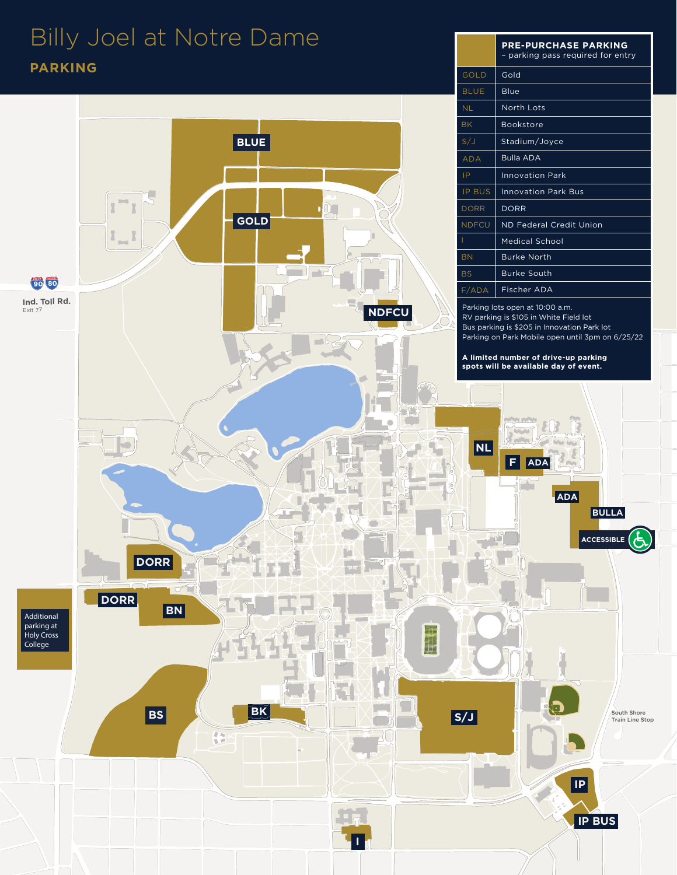## Billy Joel at Notre Dame **PARKING**



**PRE-PURCHASE PARKING** – parking pass required for entry